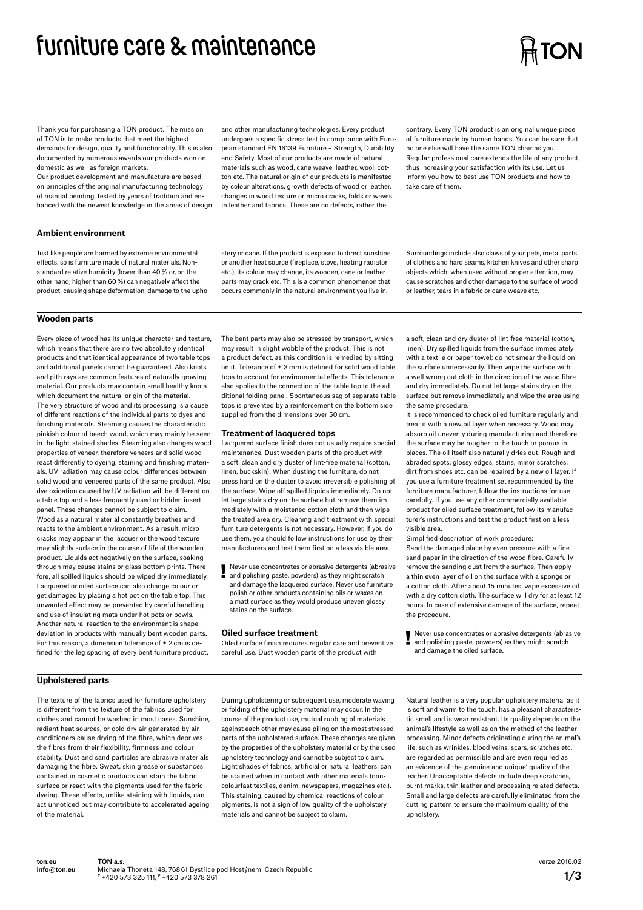# **furniture care & maintenance**

# **TON**

Thank you for purchasing a TON product. The mission of TON is to make products that meet the highest demands for design, quality and functionality. This is also documented by numerous awards our products won on domestic as well as foreign markets.

Our product development and manufacture are based on principles of the original manufacturing technology of manual bending, tested by years of tradition and enhanced with the newest knowledge in the areas of design

# **Ambient environment**

Just like people are harmed by extreme environmental effects, so is furniture made of natural materials. Nonstandard relative humidity (lower than 40  % or, on the other hand, higher than 60  %) can negatively affect the product, causing shape deformation, damage to the upholand other manufacturing technologies. Every product undergoes a specific stress test in compliance with European standard EN 16139 Furniture – Strength, Durability and Safety. Most of our products are made of natural materials such as wood, cane weave, leather, wool, cotton etc. The natural origin of our products is manifested by colour alterations, growth defects of wood or leather, changes in wood texture or micro cracks, folds or waves in leather and fabrics. These are no defects, rather the

stery or cane. If the product is exposed to direct sunshine or another heat source (fireplace, stove, heating radiator etc.), its colour may change, its wooden, cane or leather parts may crack etc. This is a common phenomenon that occurs commonly in the natural environment you live in.

contrary. Every TON product is an original unique piece of furniture made by human hands. You can be sure that no one else will have the same TON chair as you. Regular professional care extends the life of any product, thus increasing your satisfaction with its use. Let us inform you how to best use TON products and how to take care of them.

Surroundings include also claws of your pets, metal parts of clothes and hard seams, kitchen knives and other sharp objects which, when used without proper attention, may cause scratches and other damage to the surface of wood or leather, tears in a fabric or cane weave etc.

# **Wooden parts**

Every piece of wood has its unique character and texture, which means that there are no two absolutely identical products and that identical appearance of two table tops and additional panels cannot be guaranteed. Also knots and pith rays are common features of naturally growing material. Our products may contain small healthy knots which document the natural origin of the material The very structure of wood and its processing is a cause of different reactions of the individual parts to dyes and finishing materials. Steaming causes the characteristic pinkish colour of beech wood, which may mainly be seen in the light-stained shades. Steaming also changes wood properties of veneer, therefore veneers and solid wood react differently to dyeing, staining and finishing materials. UV radiation may cause colour differences between solid wood and veneered parts of the same product. Also dye oxidation caused by UV radiation will be different on a table top and a less frequently used or hidden insert panel. These changes cannot be subject to claim. Wood as a natural material constantly breathes and reacts to the ambient environment. As a result, micro cracks may appear in the lacquer or the wood texture may slightly surface in the course of life of the wooden product. Liquids act negatively on the surface, soaking through may cause stains or glass bottom prints. Therefore, all spilled liquids should be wiped dry immediately. Lacquered or oiled surface can also change colour or get damaged by placing a hot pot on the table top. This unwanted effect may be prevented by careful handling and use of insulating mats under hot pots or bowls. Another natural reaction to the environment is shape deviation in products with manually bent wooden parts. For this reason, a dimension tolerance of  $\pm$  2 cm is defined for the leg spacing of every bent furniture product.

The bent parts may also be stressed by transport, which may result in slight wobble of the product. This is not a product defect, as this condition is remedied by sitting on it. Tolerance of ± 3  mm is defined for solid wood table tops to account for environmental effects. This tolerance also applies to the connection of the table top to the additional folding panel. Spontaneous sag of separate table tops is prevented by a reinforcement on the bottom side supplied from the dimensions over 50  cm.

### **Treatment of lacquered tops**

Lacquered surface finish does not usually require special maintenance. Dust wooden parts of the product with a soft, clean and dry duster of lint-free material (cotton, linen, buckskin). When dusting the furniture, do not press hard on the duster to avoid irreversible polishing of the surface. Wipe off spilled liquids immediately. Do not let large stains dry on the surface but remove them immediately with a moistened cotton cloth and then wipe the treated area dry. Cleaning and treatment with special furniture detergents is not necessary. However, if you do use them, you should follow instructions for use by their manufacturers and test them first on a less visible area.

Never use concentrates or abrasive detergents (abrasive and polishing paste, powders) as they might scratch and damage the lacquered surface. Never use furniture polish or other products containing oils or waxes on a matt surface as they would produce uneven glossy stains on the surface.

## **Oiled surface treatment**

Oiled surface finish requires regular care and preventive careful use. Dust wooden parts of the product with

a soft, clean and dry duster of lint-free material (cotton, linen). Dry spilled liquids from the surface immediately with a textile or paper towel; do not smear the liquid on the surface unnecessarily. Then wipe the surface with a well wrung out cloth in the direction of the wood fibre and dry immediately. Do not let large stains dry on the surface but remove immediately and wipe the area using the same procedure.

It is recommended to check oiled furniture regularly and treat it with a new oil layer when necessary. Wood may absorb oil unevenly during manufacturing and therefore the surface may be rougher to the touch or porous in places. The oil itself also naturally dries out. Rough and abraded spots, glossy edges, stains, minor scratches, dirt from shoes etc. can be repaired by a new oil layer. If you use a furniture treatment set recommended by the furniture manufacturer, follow the instructions for use carefully. If you use any other commercially available product for oiled surface treatment, follow its manufacturer's instructions and test the product first on a less visible area.

Simplified description of work procedure: Sand the damaged place by even pressure with a fine sand paper in the direction of the wood fibre. Carefully remove the sanding dust from the surface. Then apply a thin even layer of oil on the surface with a sponge or a cotton cloth. After about 15 minutes, wipe excessive oil with a dry cotton cloth. The surface will dry for at least 12 hours. In case of extensive damage of the surface, repeat the procedure.

Never use concentrates or abrasive detergents (abrasive and polishing paste, powders) as they might scratch and damage the oiled surface.

# **Upholstered parts**

The texture of the fabrics used for furniture upholstery is different from the texture of the fabrics used for clothes and cannot be washed in most cases. Sunshine, radiant heat sources, or cold dry air generated by air conditioners cause drying of the fibre, which deprives the fibres from their flexibility, firmness and colour stability. Dust and sand particles are abrasive materials damaging the fibre. Sweat, skin grease or substances contained in cosmetic products can stain the fabric surface or react with the pigments used for the fabric dyeing. These effects, unlike staining with liquids, can act unnoticed but may contribute to accelerated ageing of the material.

During upholstering or subsequent use, moderate waving or folding of the upholstery material may occur. In the course of the product use, mutual rubbing of materials against each other may cause piling on the most stressed parts of the upholstered surface. These changes are given by the properties of the upholstery material or by the used upholstery technology and cannot be subject to claim. Light shades of fabrics, artificial or natural leathers, can be stained when in contact with other materials (noncolourfast textiles, denim, newspapers, magazines etc.). This staining, caused by chemical reactions of colour pigments, is not a sign of low quality of the upholstery materials and cannot be subject to claim.

Natural leather is a very popular upholstery material as it is soft and warm to the touch, has a pleasant characteristic smell and is wear resistant. Its quality depends on the animal's lifestyle as well as on the method of the leather processing. Minor defects originating during the animal's life, such as wrinkles, blood veins, scars, scratches etc. are regarded as permissible and are even required as an evidence of the ,genuine and unique' quality of the leather. Unacceptable defects include deep scratches, burnt marks, thin leather and processing related defects. Small and large defects are carefully eliminated from the cutting pattern to ensure the maximum quality of the upholstery.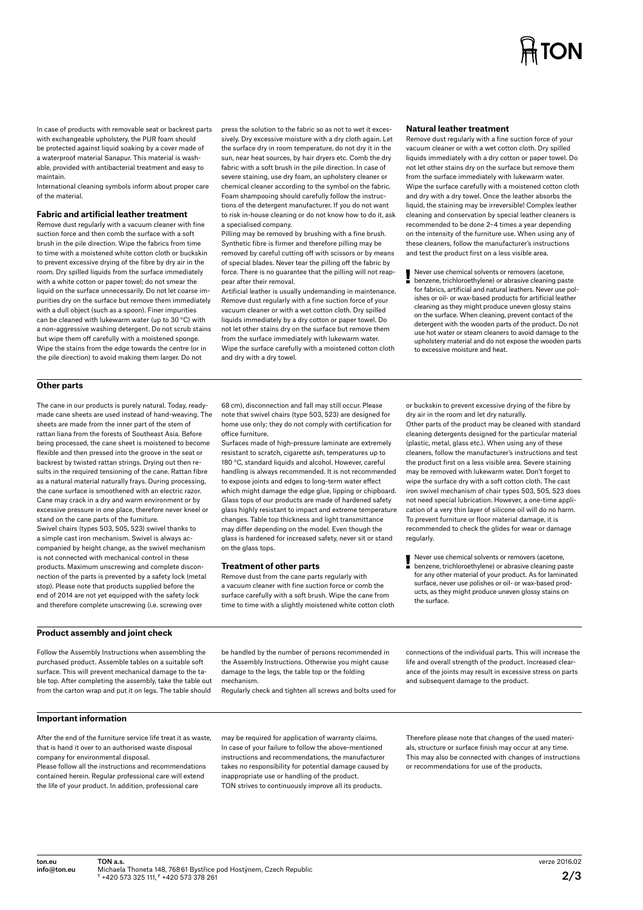# **TON**

In case of products with removable seat or backrest parts with exchangeable upholstery, the PUR foam should be protected against liquid soaking by a cover made of a waterproof material Sanapur. This material is washable, provided with antibacterial treatment and easy to maintain.

International cleaning symbols inform about proper care of the material.

#### **Fabric and artificial leather treatment**

Remove dust regularly with a vacuum cleaner with fine suction force and then comb the surface with a soft brush in the pile direction. Wipe the fabrics from time to time with a moistened white cotton cloth or buckskin to prevent excessive drying of the fibre by dry air in the room. Dry spilled liquids from the surface immediately with a white cotton or paper towel; do not smear the liquid on the surface unnecessarily. Do not let coarse impurities dry on the surface but remove them immediately with a dull object (such as a spoon). Finer impurities can be cleaned with lukewarm water (up to 30  °C) with a non-aggressive washing detergent. Do not scrub stains but wipe them off carefully with a moistened sponge. Wipe the stains from the edge towards the centre (or in the pile direction) to avoid making them larger. Do not

press the solution to the fabric so as not to wet it excessively. Dry excessive moisture with a dry cloth again. Let the surface dry in room temperature, do not dry it in the sun, near heat sources, by hair dryers etc. Comb the dry fabric with a soft brush in the pile direction. In case of severe staining, use dry foam, an upholstery cleaner or chemical cleaner according to the symbol on the fabric. Foam shampooing should carefully follow the instructions of the detergent manufacturer. If you do not want to risk in-house cleaning or do not know how to do it, ask a specialised company.

Pilling may be removed by brushing with a fine brush. Synthetic fibre is firmer and therefore pilling may be removed by careful cutting off with scissors or by means of special blades. Never tear the pilling off the fabric by force. There is no guarantee that the pilling will not reappear after their removal.

Artificial leather is usually undemanding in maintenance. Remove dust regularly with a fine suction force of your vacuum cleaner or with a wet cotton cloth. Dry spilled liquids immediately by a dry cotton or paper towel. Do not let other stains dry on the surface but remove them from the surface immediately with lukewarm water. Wipe the surface carefully with a moistened cotton cloth and dry with a dry towel.

#### **Natural leather treatment**

Remove dust regularly with a fine suction force of your vacuum cleaner or with a wet cotton cloth. Dry spilled liquids immediately with a dry cotton or paper towel. Do not let other stains dry on the surface but remove them from the surface immediately with lukewarm water. Wipe the surface carefully with a moistened cotton cloth and dry with a dry towel. Once the leather absorbs the liquid, the staining may be irreversible! Complex leather cleaning and conservation by special leather cleaners is recommended to be done 2–4 times a year depending on the intensity of the furniture use. When using any of these cleaners, follow the manufacturer's instructions and test the product first on a less visible area.

Never use chemical solvents or removers (acetone, benzene, trichloroethylene) or abrasive cleaning paste for fabrics, artificial and natural leathers. Never use polishes or oil- or wax-based products for artificial leather cleaning as they might produce uneven glossy stains on the surface. When cleaning, prevent contact of the detergent with the wooden parts of the product. Do not use hot water or steam cleaners to avoid damage to the upholstery material and do not expose the wooden parts to excessive moisture and heat.

# **Other parts**

The cane in our products is purely natural. Today, readymade cane sheets are used instead of hand-weaving. The sheets are made from the inner part of the stem of rattan liana from the forests of Southeast Asia. Before being processed, the cane sheet is moistened to become flexible and then pressed into the groove in the seat or backrest by twisted rattan strings. Drying out then results in the required tensioning of the cane. Rattan fibre as a natural material naturally frays. During processing, the cane surface is smoothened with an electric razor. Cane may crack in a dry and warm environment or by excessive pressure in one place, therefore never kneel or stand on the cane parts of the furniture. Swivel chairs (types 503, 505, 523) swivel thanks to a simple cast iron mechanism. Swivel is always accompanied by height change, as the swivel mechanism is not connected with mechanical control in these products. Maximum unscrewing and complete disconnection of the parts is prevented by a safety lock (metal stop). Please note that products supplied before the end of 2014 are not yet equipped with the safety lock and therefore complete unscrewing (i.e. screwing over

68  cm), disconnection and fall may still occur. Please note that swivel chairs (type 503, 523) are designed for home use only; they do not comply with certification for office furniture.

Surfaces made of high-pressure laminate are extremely resistant to scratch, cigarette ash, temperatures up to 180  °C, standard liquids and alcohol. However, careful handling is always recommended. It is not recommended to expose joints and edges to long-term water effect which might damage the edge glue, lipping or chipboard. Glass tops of our products are made of hardened safety glass highly resistant to impact and extreme temperature changes. Table top thickness and light transmittance may differ depending on the model. Even though the glass is hardened for increased safety, never sit or stand on the glass tops.

#### **Treatment of other parts**

Remove dust from the cane parts regularly with a vacuum cleaner with fine suction force or comb the surface carefully with a soft brush. Wipe the cane from time to time with a slightly moistened white cotton cloth or buckskin to prevent excessive drying of the fibre by dry air in the room and let dry naturally. Other parts of the product may be cleaned with standard cleaning detergents designed for the particular material (plastic, metal, glass etc.). When using any of these cleaners, follow the manufacturer's instructions and test the product first on a less visible area. Severe staining may be removed with lukewarm water. Don't forget to wipe the surface dry with a soft cotton cloth. The cast iron swivel mechanism of chair types 503, 505, 523 does not need special lubrication. However, a one-time application of a very thin layer of silicone oil will do no harm. To prevent furniture or floor material damage, it is recommended to check the glides for wear or damage regularly.

Never use chemical solvents or removers (acetone, benzene, trichloroethylene) or abrasive cleaning paste for any other material of your product. As for laminated surface, never use polishes or oil- or wax-based products, as they might produce uneven glossy stains on the surface.

#### **Product assembly and joint check**

Follow the Assembly Instructions when assembling the purchased product. Assemble tables on a suitable soft surface. This will prevent mechanical damage to the table top. After completing the assembly, take the table out from the carton wrap and put it on legs. The table should be handled by the number of persons recommended in the Assembly Instructions. Otherwise you might cause damage to the legs, the table top or the folding mechanism.

Regularly check and tighten all screws and bolts used for

connections of the individual parts. This will increase the life and overall strength of the product. Increased clearance of the joints may result in excessive stress on parts and subsequent damage to the product.

### **Important information**

After the end of the furniture service life treat it as waste, that is hand it over to an authorised waste disposal company for environmental disposal. Please follow all the instructions and recommendations

contained herein. Regular professional care will extend the life of your product. In addition, professional care

may be required for application of warranty claims. In case of your failure to follow the above-mentioned instructions and recommendations, the manufacturer takes no responsibility for potential damage caused by inappropriate use or handling of the product. TON strives to continuously improve all its products.

Therefore please note that changes of the used materials, structure or surface finish may occur at any time. This may also be connected with changes of instructions or recommendations for use of the products.

ton.eu info@ton.eu